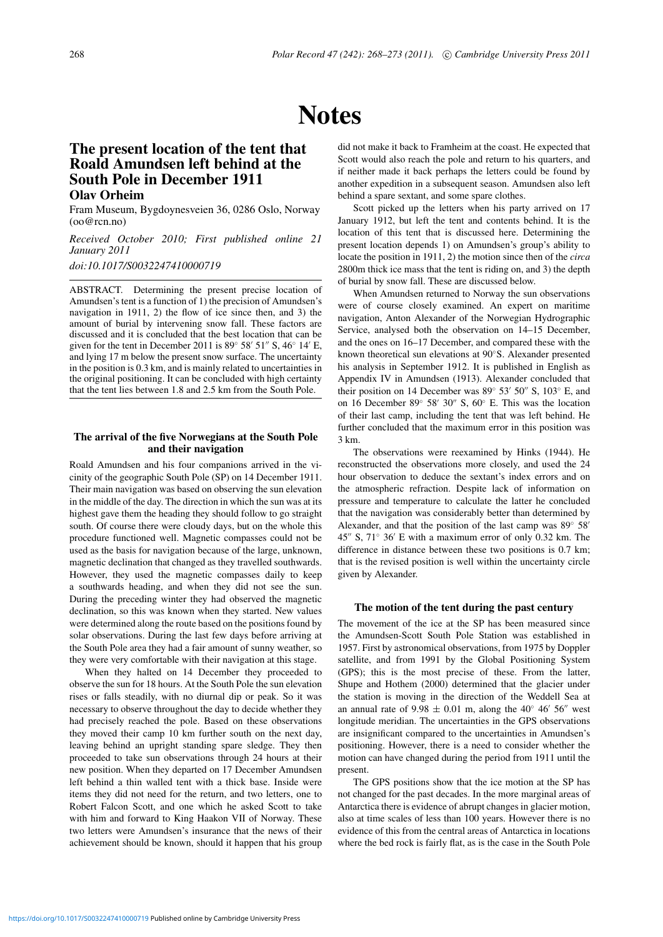# **Notes**

## **The present location of the tent that Roald Amundsen left behind at the South Pole in December 1911 Olav Orheim**

Fram Museum, Bygdoynesveien 36, 0286 Oslo, Norway (oo@rcn.no)

*Received October 2010; First published online 21 January 2011*

*doi:10.1017/S0032247410000719*

ABSTRACT. Determining the present precise location of Amundsen's tent is a function of 1) the precision of Amundsen's navigation in 1911, 2) the flow of ice since then, and 3) the amount of burial by intervening snow fall. These factors are discussed and it is concluded that the best location that can be given for the tent in December 2011 is  $89° 58' 51'' S$ ,  $46° 14' E$ , and lying 17 m below the present snow surface. The uncertainty in the position is 0.3 km, and is mainly related to uncertainties in the original positioning. It can be concluded with high certainty that the tent lies between 1.8 and 2.5 km from the South Pole.

#### **The arrival of the five Norwegians at the South Pole and their navigation**

Roald Amundsen and his four companions arrived in the vicinity of the geographic South Pole (SP) on 14 December 1911. Their main navigation was based on observing the sun elevation in the middle of the day. The direction in which the sun was at its highest gave them the heading they should follow to go straight south. Of course there were cloudy days, but on the whole this procedure functioned well. Magnetic compasses could not be used as the basis for navigation because of the large, unknown, magnetic declination that changed as they travelled southwards. However, they used the magnetic compasses daily to keep a southwards heading, and when they did not see the sun. During the preceding winter they had observed the magnetic declination, so this was known when they started. New values were determined along the route based on the positions found by solar observations. During the last few days before arriving at the South Pole area they had a fair amount of sunny weather, so they were very comfortable with their navigation at this stage.

When they halted on 14 December they proceeded to observe the sun for 18 hours. At the South Pole the sun elevation rises or falls steadily, with no diurnal dip or peak. So it was necessary to observe throughout the day to decide whether they had precisely reached the pole. Based on these observations they moved their camp 10 km further south on the next day, leaving behind an upright standing spare sledge. They then proceeded to take sun observations through 24 hours at their new position. When they departed on 17 December Amundsen left behind a thin walled tent with a thick base. Inside were items they did not need for the return, and two letters, one to Robert Falcon Scott, and one which he asked Scott to take with him and forward to King Haakon VII of Norway. These two letters were Amundsen's insurance that the news of their achievement should be known, should it happen that his group did not make it back to Framheim at the coast. He expected that Scott would also reach the pole and return to his quarters, and if neither made it back perhaps the letters could be found by another expedition in a subsequent season. Amundsen also left behind a spare sextant, and some spare clothes.

Scott picked up the letters when his party arrived on 17 January 1912, but left the tent and contents behind. It is the location of this tent that is discussed here. Determining the present location depends 1) on Amundsen's group's ability to locate the position in 1911, 2) the motion since then of the *circa* 2800m thick ice mass that the tent is riding on, and 3) the depth of burial by snow fall. These are discussed below.

When Amundsen returned to Norway the sun observations were of course closely examined. An expert on maritime navigation, Anton Alexander of the Norwegian Hydrographic Service, analysed both the observation on 14–15 December, and the ones on 16–17 December, and compared these with the known theoretical sun elevations at 90◦S. Alexander presented his analysis in September 1912. It is published in English as Appendix IV in Amundsen (1913). Alexander concluded that their position on 14 December was  $89° 53' 50'' S$ ,  $103° E$ , and on 16 December 89 $\degree$  58′ 30″ S, 60 $\degree$  E. This was the location of their last camp, including the tent that was left behind. He further concluded that the maximum error in this position was 3 km.

The observations were reexamined by Hinks (1944). He reconstructed the observations more closely, and used the 24 hour observation to deduce the sextant's index errors and on the atmospheric refraction. Despite lack of information on pressure and temperature to calculate the latter he concluded that the navigation was considerably better than determined by Alexander, and that the position of the last camp was 89◦ 58 45" S,  $71°$  36' E with a maximum error of only 0.32 km. The difference in distance between these two positions is 0.7 km; that is the revised position is well within the uncertainty circle given by Alexander.

#### **The motion of the tent during the past century**

The movement of the ice at the SP has been measured since the Amundsen-Scott South Pole Station was established in 1957. First by astronomical observations, from 1975 by Doppler satellite, and from 1991 by the Global Positioning System (GPS); this is the most precise of these. From the latter, Shupe and Hothem (2000) determined that the glacier under the station is moving in the direction of the Weddell Sea at an annual rate of  $9.98 \pm 0.01$  m, along the 40° 46′ 56″ west longitude meridian. The uncertainties in the GPS observations are insignificant compared to the uncertainties in Amundsen's positioning. However, there is a need to consider whether the motion can have changed during the period from 1911 until the present.

The GPS positions show that the ice motion at the SP has not changed for the past decades. In the more marginal areas of Antarctica there is evidence of abrupt changes in glacier motion, also at time scales of less than 100 years. However there is no evidence of this from the central areas of Antarctica in locations where the bed rock is fairly flat, as is the case in the South Pole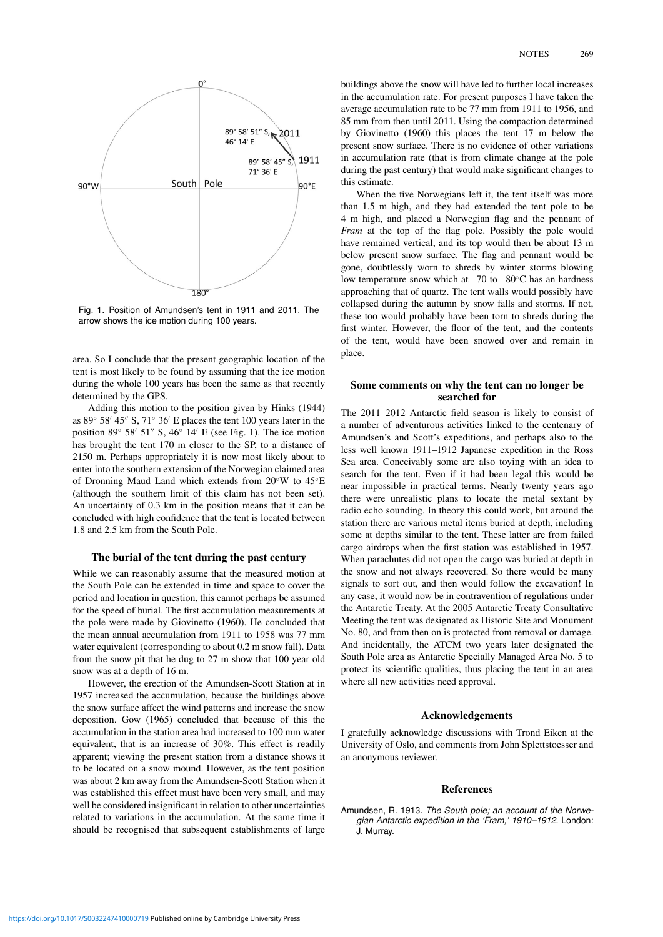

Fig. 1. Position of Amundsen's tent in 1911 and 2011. The arrow shows the ice motion during 100 years.

area. So I conclude that the present geographic location of the tent is most likely to be found by assuming that the ice motion during the whole 100 years has been the same as that recently determined by the GPS.

Adding this motion to the position given by Hinks (1944) as 89 $\degree$  58′ 45″ S, 71 $\degree$  36′ E places the tent 100 years later in the position 89 $\degree$  58′ 51″ S, 46 $\degree$  14′ E (see Fig. 1). The ice motion has brought the tent 170 m closer to the SP, to a distance of 2150 m. Perhaps appropriately it is now most likely about to enter into the southern extension of the Norwegian claimed area of Dronning Maud Land which extends from 20◦W to 45◦E (although the southern limit of this claim has not been set). An uncertainty of 0.3 km in the position means that it can be concluded with high confidence that the tent is located between 1.8 and 2.5 km from the South Pole.

#### **The burial of the tent during the past century**

While we can reasonably assume that the measured motion at the South Pole can be extended in time and space to cover the period and location in question, this cannot perhaps be assumed for the speed of burial. The first accumulation measurements at the pole were made by Giovinetto (1960). He concluded that the mean annual accumulation from 1911 to 1958 was 77 mm water equivalent (corresponding to about 0.2 m snow fall). Data from the snow pit that he dug to 27 m show that 100 year old snow was at a depth of 16 m.

However, the erection of the Amundsen-Scott Station at in 1957 increased the accumulation, because the buildings above the snow surface affect the wind patterns and increase the snow deposition. Gow (1965) concluded that because of this the accumulation in the station area had increased to 100 mm water equivalent, that is an increase of 30%. This effect is readily apparent; viewing the present station from a distance shows it to be located on a snow mound. However, as the tent position was about 2 km away from the Amundsen-Scott Station when it was established this effect must have been very small, and may well be considered insignificant in relation to other uncertainties related to variations in the accumulation. At the same time it should be recognised that subsequent establishments of large

buildings above the snow will have led to further local increases in the accumulation rate. For present purposes I have taken the average accumulation rate to be 77 mm from 1911 to 1956, and 85 mm from then until 2011. Using the compaction determined by Giovinetto (1960) this places the tent 17 m below the present snow surface. There is no evidence of other variations in accumulation rate (that is from climate change at the pole during the past century) that would make significant changes to this estimate.

When the five Norwegians left it, the tent itself was more than 1.5 m high, and they had extended the tent pole to be 4 m high, and placed a Norwegian flag and the pennant of *Fram* at the top of the flag pole. Possibly the pole would have remained vertical, and its top would then be about 13 m below present snow surface. The flag and pennant would be gone, doubtlessly worn to shreds by winter storms blowing low temperature snow which at –70 to –80◦C has an hardness approaching that of quartz. The tent walls would possibly have collapsed during the autumn by snow falls and storms. If not, these too would probably have been torn to shreds during the first winter. However, the floor of the tent, and the contents of the tent, would have been snowed over and remain in place.

#### **Some comments on why the tent can no longer be searched for**

The 2011–2012 Antarctic field season is likely to consist of a number of adventurous activities linked to the centenary of Amundsen's and Scott's expeditions, and perhaps also to the less well known 1911–1912 Japanese expedition in the Ross Sea area. Conceivably some are also toying with an idea to search for the tent. Even if it had been legal this would be near impossible in practical terms. Nearly twenty years ago there were unrealistic plans to locate the metal sextant by radio echo sounding. In theory this could work, but around the station there are various metal items buried at depth, including some at depths similar to the tent. These latter are from failed cargo airdrops when the first station was established in 1957. When parachutes did not open the cargo was buried at depth in the snow and not always recovered. So there would be many signals to sort out, and then would follow the excavation! In any case, it would now be in contravention of regulations under the Antarctic Treaty. At the 2005 Antarctic Treaty Consultative Meeting the tent was designated as Historic Site and Monument No. 80, and from then on is protected from removal or damage. And incidentally, the ATCM two years later designated the South Pole area as Antarctic Specially Managed Area No. 5 to protect its scientific qualities, thus placing the tent in an area where all new activities need approval.

#### **Acknowledgements**

I gratefully acknowledge discussions with Trond Eiken at the University of Oslo, and comments from John Splettstoesser and an anonymous reviewer.

#### **References**

Amundsen, R. 1913. The South pole; an account of the Norwegian Antarctic expedition in the 'Fram,' 1910–1912. London: J. Murray.